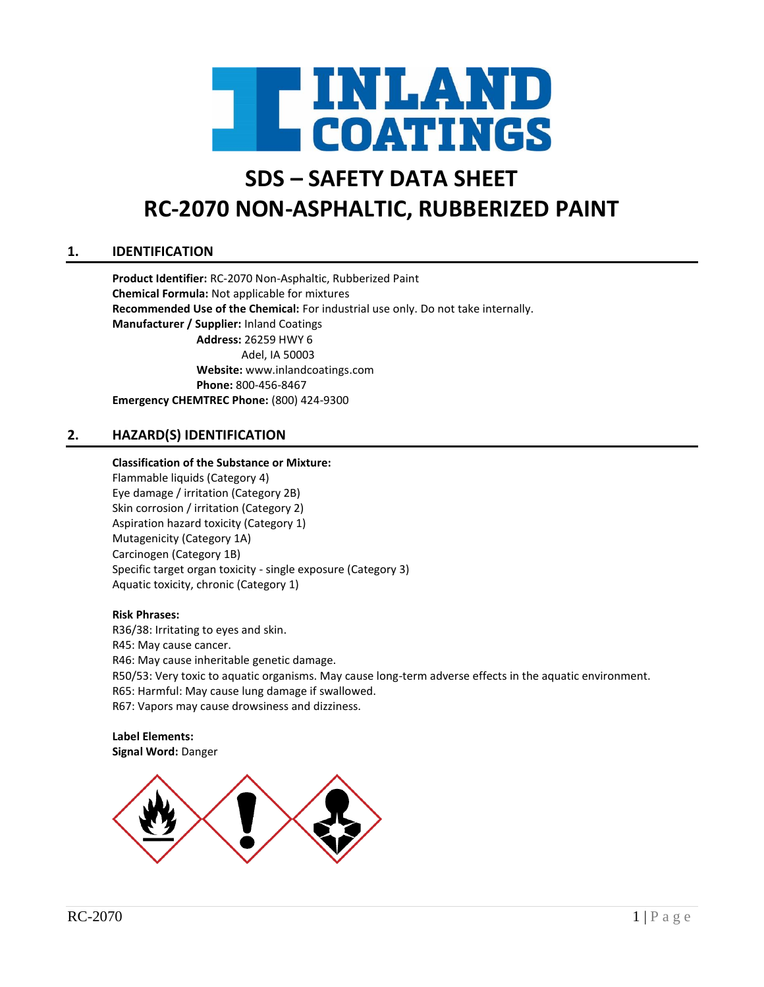

# **SDS – SAFETY DATA SHEET RC-2070 NON-ASPHALTIC, RUBBERIZED PAINT**

# **1. IDENTIFICATION**

**Product Identifier:** RC-2070 Non-Asphaltic, Rubberized Paint **Chemical Formula:** Not applicable for mixtures **Recommended Use of the Chemical:** For industrial use only. Do not take internally. **Manufacturer / Supplier:** Inland Coatings **Address:** 26259 HWY 6 Adel, IA 50003 **Website:** www.inlandcoatings.com **Phone:** 800-456-8467 **Emergency CHEMTREC Phone:** (800) 424-9300

# **2. HAZARD(S) IDENTIFICATION**

#### **Classification of the Substance or Mixture:**

Flammable liquids (Category 4) Eye damage / irritation (Category 2B) Skin corrosion / irritation (Category 2) Aspiration hazard toxicity (Category 1) Mutagenicity (Category 1A) Carcinogen (Category 1B) Specific target organ toxicity - single exposure (Category 3) Aquatic toxicity, chronic (Category 1)

#### **Risk Phrases:**

R36/38: Irritating to eyes and skin. R45: May cause cancer. R46: May cause inheritable genetic damage. R50/53: Very toxic to aquatic organisms. May cause long-term adverse effects in the aquatic environment. R65: Harmful: May cause lung damage if swallowed. R67: Vapors may cause drowsiness and dizziness.

**Label Elements: Signal Word:** Danger

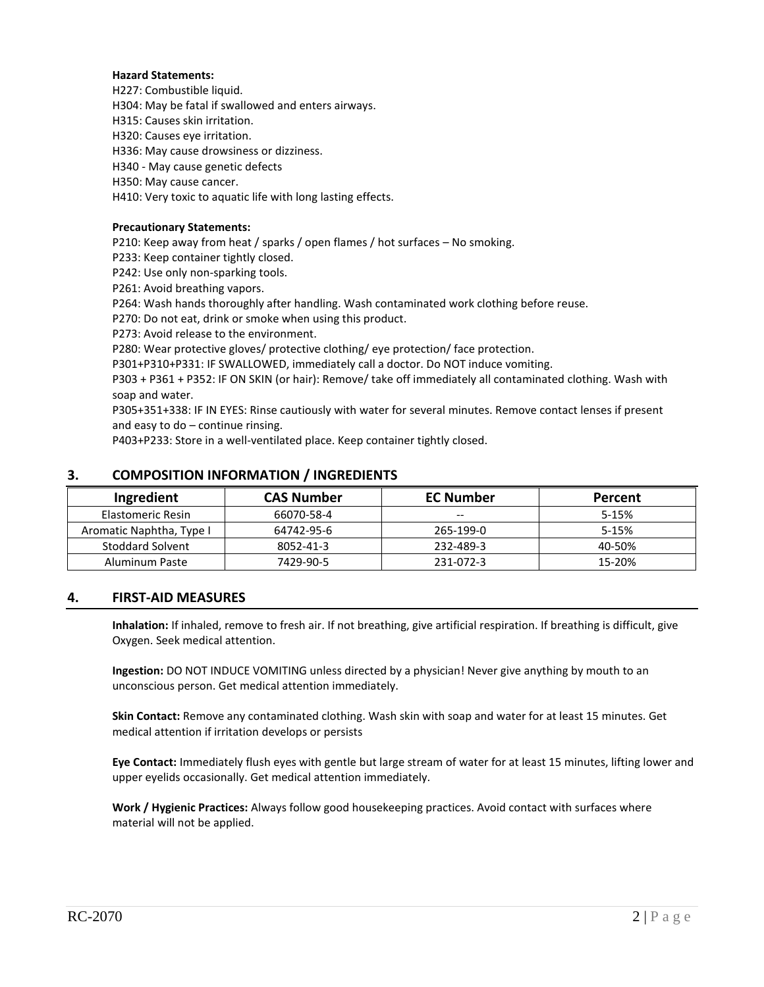#### **Hazard Statements:**

H227: Combustible liquid.

H304: May be fatal if swallowed and enters airways.

H315: Causes skin irritation.

H320: Causes eye irritation.

H336: May cause drowsiness or dizziness.

H340 - May cause genetic defects

H350: May cause cancer.

H410: Very toxic to aquatic life with long lasting effects.

#### **Precautionary Statements:**

P210: Keep away from heat / sparks / open flames / hot surfaces – No smoking.

P233: Keep container tightly closed.

P242: Use only non-sparking tools.

P261: Avoid breathing vapors.

P264: Wash hands thoroughly after handling. Wash contaminated work clothing before reuse.

P270: Do not eat, drink or smoke when using this product.

P273: Avoid release to the environment.

P280: Wear protective gloves/ protective clothing/ eye protection/ face protection.

P301+P310+P331: IF SWALLOWED, immediately call a doctor. Do NOT induce vomiting.

P303 + P361 + P352: IF ON SKIN (or hair): Remove/ take off immediately all contaminated clothing. Wash with soap and water.

P305+351+338: IF IN EYES: Rinse cautiously with water for several minutes. Remove contact lenses if present and easy to do – continue rinsing.

P403+P233: Store in a well-ventilated place. Keep container tightly closed.

| Ingredient               | <b>CAS Number</b> | <b>EC Number</b> | Percent |
|--------------------------|-------------------|------------------|---------|
| Elastomeric Resin        | 66070-58-4        | $- -$            | 5-15%   |
| Aromatic Naphtha, Type I | 64742-95-6        | 265-199-0        | 5-15%   |
| <b>Stoddard Solvent</b>  | 8052-41-3         | 232-489-3        | 40-50%  |
| Aluminum Paste           | 7429-90-5         | 231-072-3        | 15-20%  |

### **3. COMPOSITION INFORMATION / INGREDIENTS**

### **4. FIRST-AID MEASURES**

**Inhalation:** If inhaled, remove to fresh air. If not breathing, give artificial respiration. If breathing is difficult, give Oxygen. Seek medical attention.

**Ingestion:** DO NOT INDUCE VOMITING unless directed by a physician! Never give anything by mouth to an unconscious person. Get medical attention immediately.

**Skin Contact:** Remove any contaminated clothing. Wash skin with soap and water for at least 15 minutes. Get medical attention if irritation develops or persists

**Eye Contact:** Immediately flush eyes with gentle but large stream of water for at least 15 minutes, lifting lower and upper eyelids occasionally. Get medical attention immediately.

**Work / Hygienic Practices:** Always follow good housekeeping practices. Avoid contact with surfaces where material will not be applied.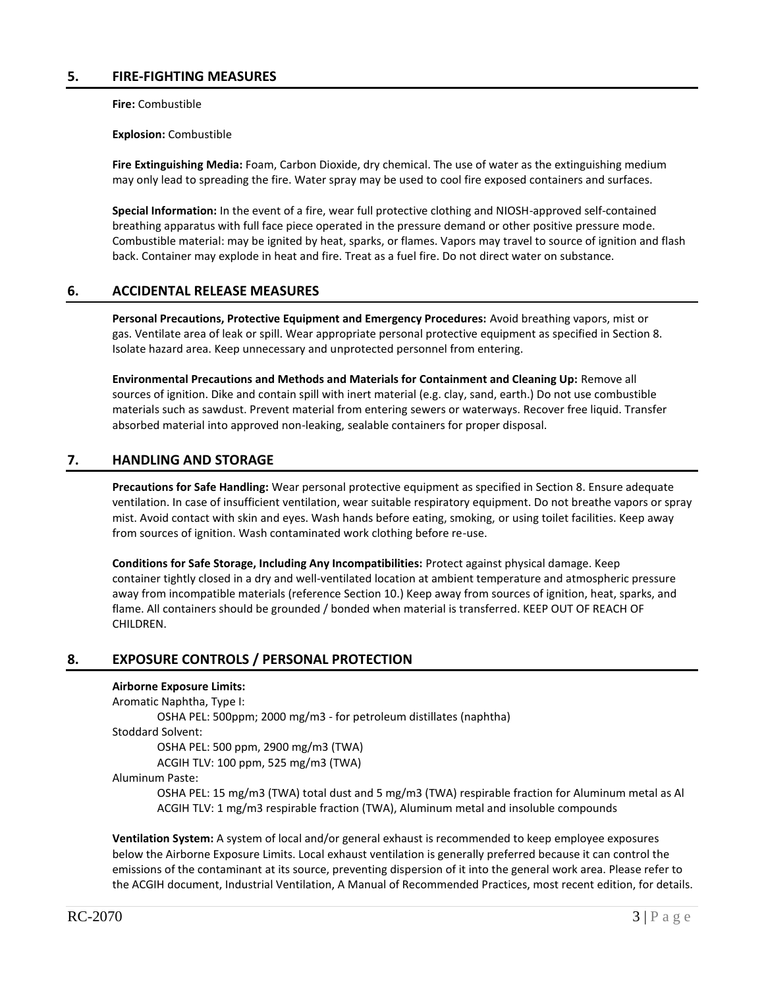## **5. FIRE-FIGHTING MEASURES**

**Fire:** Combustible

**Explosion:** Combustible

**Fire Extinguishing Media:** Foam, Carbon Dioxide, dry chemical. The use of water as the extinguishing medium may only lead to spreading the fire. Water spray may be used to cool fire exposed containers and surfaces.

**Special Information:** In the event of a fire, wear full protective clothing and NIOSH-approved self-contained breathing apparatus with full face piece operated in the pressure demand or other positive pressure mode. Combustible material: may be ignited by heat, sparks, or flames. Vapors may travel to source of ignition and flash back. Container may explode in heat and fire. Treat as a fuel fire. Do not direct water on substance.

## **6. ACCIDENTAL RELEASE MEASURES**

**Personal Precautions, Protective Equipment and Emergency Procedures:** Avoid breathing vapors, mist or gas. Ventilate area of leak or spill. Wear appropriate personal protective equipment as specified in Section 8. Isolate hazard area. Keep unnecessary and unprotected personnel from entering.

**Environmental Precautions and Methods and Materials for Containment and Cleaning Up:** Remove all sources of ignition. Dike and contain spill with inert material (e.g. clay, sand, earth.) Do not use combustible materials such as sawdust. Prevent material from entering sewers or waterways. Recover free liquid. Transfer absorbed material into approved non-leaking, sealable containers for proper disposal.

# **7. HANDLING AND STORAGE**

**Precautions for Safe Handling:** Wear personal protective equipment as specified in Section 8. Ensure adequate ventilation. In case of insufficient ventilation, wear suitable respiratory equipment. Do not breathe vapors or spray mist. Avoid contact with skin and eyes. Wash hands before eating, smoking, or using toilet facilities. Keep away from sources of ignition. Wash contaminated work clothing before re-use.

**Conditions for Safe Storage, Including Any Incompatibilities:** Protect against physical damage. Keep container tightly closed in a dry and well-ventilated location at ambient temperature and atmospheric pressure away from incompatible materials (reference Section 10.) Keep away from sources of ignition, heat, sparks, and flame. All containers should be grounded / bonded when material is transferred. KEEP OUT OF REACH OF CHILDREN.

# **8. EXPOSURE CONTROLS / PERSONAL PROTECTION**

### **Airborne Exposure Limits:**

Aromatic Naphtha, Type I:

OSHA PEL: 500ppm; 2000 mg/m3 - for petroleum distillates (naphtha)

Stoddard Solvent:

OSHA PEL: 500 ppm, 2900 mg/m3 (TWA)

ACGIH TLV: 100 ppm, 525 mg/m3 (TWA)

Aluminum Paste:

OSHA PEL: 15 mg/m3 (TWA) total dust and 5 mg/m3 (TWA) respirable fraction for Aluminum metal as Al ACGIH TLV: 1 mg/m3 respirable fraction (TWA), Aluminum metal and insoluble compounds

**Ventilation System:** A system of local and/or general exhaust is recommended to keep employee exposures below the Airborne Exposure Limits. Local exhaust ventilation is generally preferred because it can control the emissions of the contaminant at its source, preventing dispersion of it into the general work area. Please refer to the ACGIH document, Industrial Ventilation, A Manual of Recommended Practices, most recent edition, for details.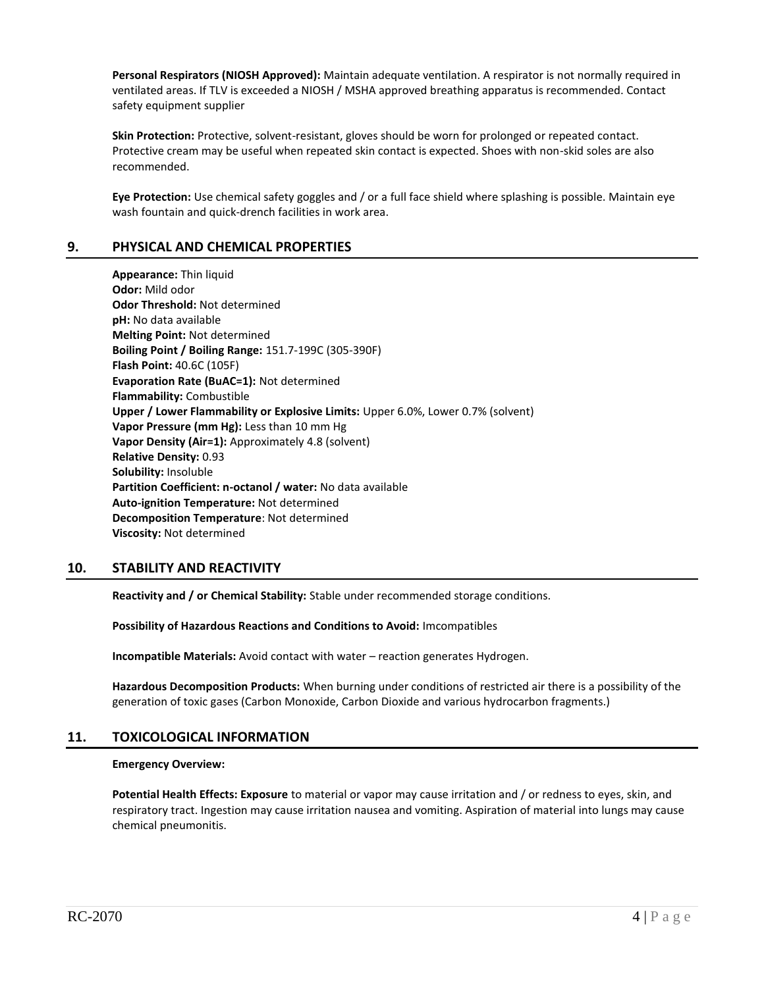**Personal Respirators (NIOSH Approved):** Maintain adequate ventilation. A respirator is not normally required in ventilated areas. If TLV is exceeded a NIOSH / MSHA approved breathing apparatus is recommended. Contact safety equipment supplier

**Skin Protection:** Protective, solvent-resistant, gloves should be worn for prolonged or repeated contact. Protective cream may be useful when repeated skin contact is expected. Shoes with non-skid soles are also recommended.

**Eye Protection:** Use chemical safety goggles and / or a full face shield where splashing is possible. Maintain eye wash fountain and quick-drench facilities in work area.

## **9. PHYSICAL AND CHEMICAL PROPERTIES**

**Appearance:** Thin liquid **Odor:** Mild odor **Odor Threshold:** Not determined **pH:** No data available **Melting Point:** Not determined **Boiling Point / Boiling Range:** 151.7-199C (305-390F) **Flash Point:** 40.6C (105F) **Evaporation Rate (BuAC=1):** Not determined **Flammability:** Combustible **Upper / Lower Flammability or Explosive Limits:** Upper 6.0%, Lower 0.7% (solvent) **Vapor Pressure (mm Hg):** Less than 10 mm Hg **Vapor Density (Air=1):** Approximately 4.8 (solvent) **Relative Density:** 0.93 **Solubility:** Insoluble **Partition Coefficient: n-octanol / water:** No data available **Auto-ignition Temperature:** Not determined **Decomposition Temperature**: Not determined **Viscosity:** Not determined

## **10. STABILITY AND REACTIVITY**

**Reactivity and / or Chemical Stability:** Stable under recommended storage conditions.

#### **Possibility of Hazardous Reactions and Conditions to Avoid:** Imcompatibles

**Incompatible Materials:** Avoid contact with water – reaction generates Hydrogen.

**Hazardous Decomposition Products:** When burning under conditions of restricted air there is a possibility of the generation of toxic gases (Carbon Monoxide, Carbon Dioxide and various hydrocarbon fragments.)

## **11. TOXICOLOGICAL INFORMATION**

#### **Emergency Overview:**

**Potential Health Effects: Exposure** to material or vapor may cause irritation and / or redness to eyes, skin, and respiratory tract. Ingestion may cause irritation nausea and vomiting. Aspiration of material into lungs may cause chemical pneumonitis.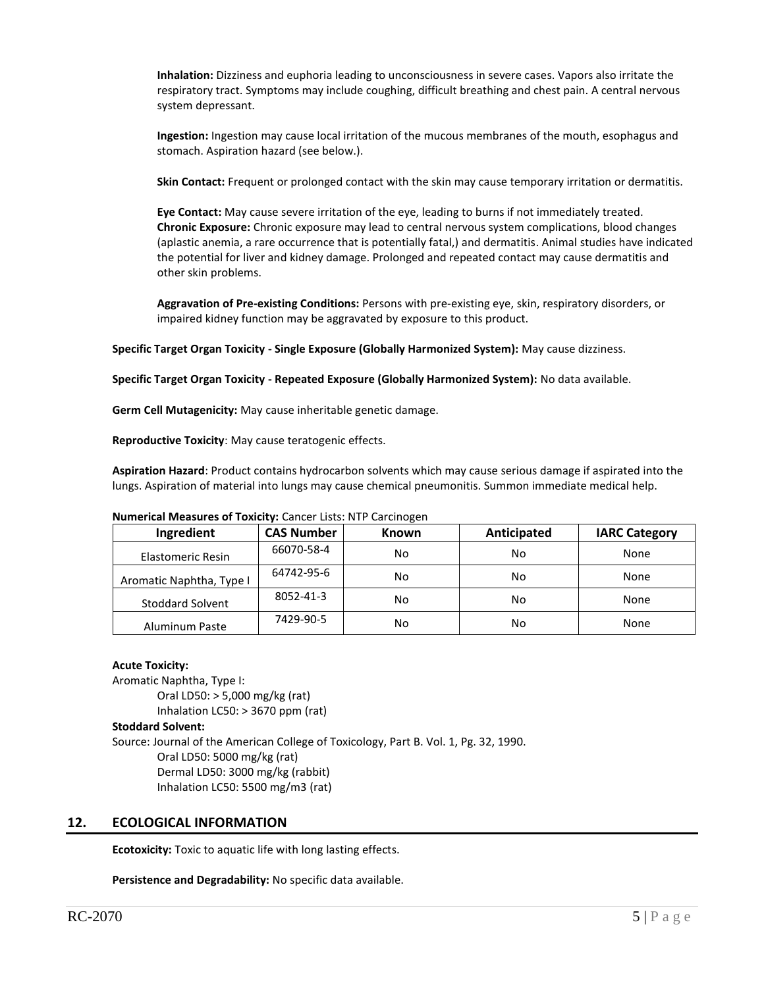**Inhalation:** Dizziness and euphoria leading to unconsciousness in severe cases. Vapors also irritate the respiratory tract. Symptoms may include coughing, difficult breathing and chest pain. A central nervous system depressant.

**Ingestion:** Ingestion may cause local irritation of the mucous membranes of the mouth, esophagus and stomach. Aspiration hazard (see below.).

**Skin Contact:** Frequent or prolonged contact with the skin may cause temporary irritation or dermatitis.

**Eye Contact:** May cause severe irritation of the eye, leading to burns if not immediately treated. **Chronic Exposure:** Chronic exposure may lead to central nervous system complications, blood changes (aplastic anemia, a rare occurrence that is potentially fatal,) and dermatitis. Animal studies have indicated the potential for liver and kidney damage. Prolonged and repeated contact may cause dermatitis and other skin problems.

**Aggravation of Pre-existing Conditions:** Persons with pre-existing eye, skin, respiratory disorders, or impaired kidney function may be aggravated by exposure to this product.

**Specific Target Organ Toxicity - Single Exposure (Globally Harmonized System):** May cause dizziness.

**Specific Target Organ Toxicity - Repeated Exposure (Globally Harmonized System):** No data available.

**Germ Cell Mutagenicity:** May cause inheritable genetic damage.

**Reproductive Toxicity**: May cause teratogenic effects.

**Aspiration Hazard**: Product contains hydrocarbon solvents which may cause serious damage if aspirated into the lungs. Aspiration of material into lungs may cause chemical pneumonitis. Summon immediate medical help.

#### **Numerical Measures of Toxicity:** Cancer Lists: NTP Carcinogen

| Ingredient               | <b>CAS Number</b> | <b>Known</b> | Anticipated | <b>IARC Category</b> |
|--------------------------|-------------------|--------------|-------------|----------------------|
| Elastomeric Resin        | 66070-58-4        | No           | No          | None                 |
| Aromatic Naphtha, Type I | 64742-95-6        | No           | No          | None                 |
| <b>Stoddard Solvent</b>  | 8052-41-3         | No           | No          | None                 |
| <b>Aluminum Paste</b>    | 7429-90-5         | No           | No          | None                 |

#### **Acute Toxicity:**

Aromatic Naphtha, Type I: Oral LD50: > 5,000 mg/kg (rat) Inhalation LC50: > 3670 ppm (rat)

#### **Stoddard Solvent:**

Source: Journal of the American College of Toxicology, Part B. Vol. 1, Pg. 32, 1990. Oral LD50: 5000 mg/kg (rat) Dermal LD50: 3000 mg/kg (rabbit) Inhalation LC50: 5500 mg/m3 (rat)

## **12. ECOLOGICAL INFORMATION**

**Ecotoxicity:** Toxic to aquatic life with long lasting effects.

**Persistence and Degradability:** No specific data available.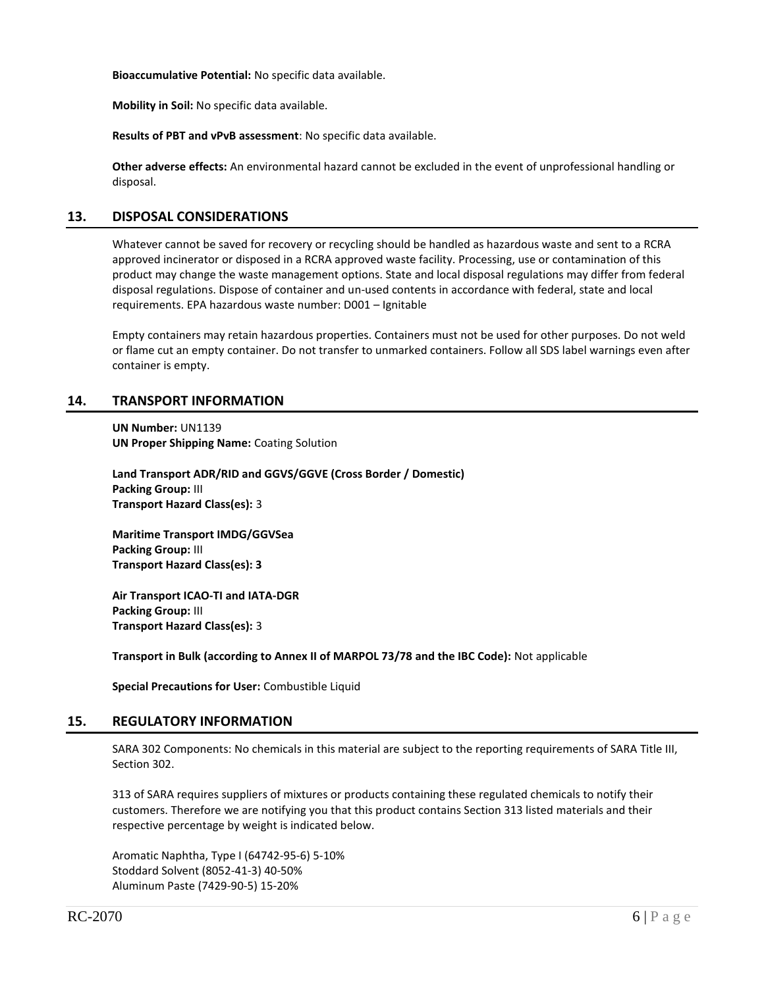**Bioaccumulative Potential:** No specific data available.

**Mobility in Soil:** No specific data available.

**Results of PBT and vPvB assessment**: No specific data available.

**Other adverse effects:** An environmental hazard cannot be excluded in the event of unprofessional handling or disposal.

## **13. DISPOSAL CONSIDERATIONS**

Whatever cannot be saved for recovery or recycling should be handled as hazardous waste and sent to a RCRA approved incinerator or disposed in a RCRA approved waste facility. Processing, use or contamination of this product may change the waste management options. State and local disposal regulations may differ from federal disposal regulations. Dispose of container and un-used contents in accordance with federal, state and local requirements. EPA hazardous waste number: D001 – Ignitable

Empty containers may retain hazardous properties. Containers must not be used for other purposes. Do not weld or flame cut an empty container. Do not transfer to unmarked containers. Follow all SDS label warnings even after container is empty.

## **14. TRANSPORT INFORMATION**

**UN Number:** UN1139 **UN Proper Shipping Name:** Coating Solution

**Land Transport ADR/RID and GGVS/GGVE (Cross Border / Domestic) Packing Group:** III **Transport Hazard Class(es):** 3

**Maritime Transport IMDG/GGVSea Packing Group:** III **Transport Hazard Class(es): 3**

**Air Transport ICAO-TI and IATA-DGR Packing Group:** III **Transport Hazard Class(es):** 3

**Transport in Bulk (according to Annex II of MARPOL 73/78 and the IBC Code):** Not applicable

**Special Precautions for User:** Combustible Liquid

### **15. REGULATORY INFORMATION**

SARA 302 Components: No chemicals in this material are subject to the reporting requirements of SARA Title III, Section 302.

313 of SARA requires suppliers of mixtures or products containing these regulated chemicals to notify their customers. Therefore we are notifying you that this product contains Section 313 listed materials and their respective percentage by weight is indicated below.

Aromatic Naphtha, Type I (64742-95-6) 5-10% Stoddard Solvent (8052-41-3) 40-50% Aluminum Paste (7429-90-5) 15-20%